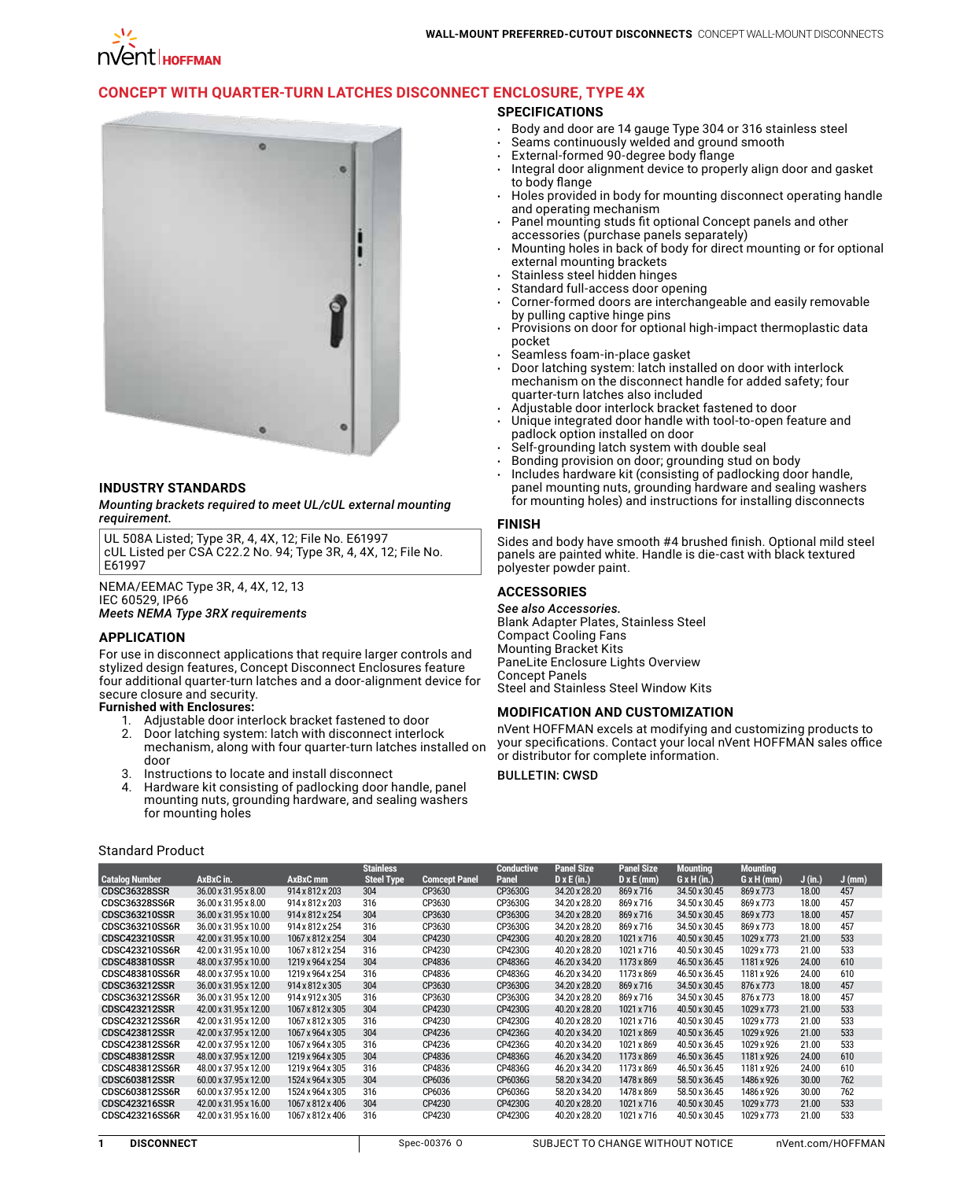# **[Concept with Quarter-Turn Latches Disconnect Enclosure, Type 4X](http://hoffman.nvent.com/en/hoffman/CONCEPT-with-Quarter-Turn-Latches-Disconnect-Enclosure-Type-4X)**

## **SPECIFICATIONS**

- • Body and door are 14 gauge Type 304 or 316 stainless steel
	- Seams continuously welded and ground smooth
- External-formed 90-degree body flange
- Integral door alignment device to properly align door and gasket to body flange
- Holes provided in body for mounting disconnect operating handle and operating mechanism
- Panel mounting studs fit optional Concept panels and other accessories (purchase panels separately)
- Mounting holes in back of body for direct mounting or for optional external mounting brackets
- Stainless steel hidden hinges
- Standard full-access door opening
- Corner-formed doors are interchangeable and easily removable by pulling captive hinge pins
- Provisions on door for optional high-impact thermoplastic data pocket
- pes...s.<br>Seamless foam-in-place gasket
- Door latching system: latch installed on door with interlock mechanism on the disconnect handle for added safety; four quarter-turn latches also included
- Adjustable door interlock bracket fastened to door
- Unique integrated door handle with tool-to-open feature and padlock option installed on door
- Self-grounding latch system with double seal
- Bonding provision on door; grounding stud on body
- Includes hardware kit (consisting of padlocking door handle, panel mounting nuts, grounding hardware and sealing washers for mounting holes) and instructions for installing disconnects

#### **FINISH**

Sides and body have smooth #4 brushed finish. Optional mild steel panels are painted white. Handle is die-cast with black textured polyester powder paint.

### **ACCESSORIES**

*See also Accessories.* Blank Adapter Plates, Stainless Steel Compact Cooling Fans Mounting Bracket Kits PaneLite Enclosure Lights Overview Concept Panels Steel and Stainless Steel Window Kits

## **MODIFICATION AND CUSTOMIZATION**

nVent HOFFMAN excels at modifying and customizing products to your specifications. Contact your local nVent HOFFMAN sales office or distributor for complete information.

Bulletin: CWSD

ö

## **INDUSTRY STANDARDS**

*Mounting brackets required to meet UL/cUL external mounting requirement.*

UL 508A Listed; Type 3R, 4, 4X, 12; File No. E61997 cUL Listed per CSA C22.2 No. 94; Type 3R, 4, 4X, 12; File No. E61997

NEMA/EEMAC Type 3R, 4, 4X, 12, 13 IEC 60529, IP66 *Meets NEMA Type 3RX requirements*

#### **APPLICATION**

For use in disconnect applications that require larger controls and stylized design features, Concept Disconnect Enclosures feature four additional quarter-turn latches and a door-alignment device for secure closure and security.

#### **Furnished with Enclosures:**

- 1. Adjustable door interlock bracket fastened to door
- 2. Door latching system: latch with disconnect interlock mechanism, along with four quarter-turn latches installed on door
- 3. Instructions to locate and install disconnect
- Hardware kit consisting of padlocking door handle, panel mounting nuts, grounding hardware, and sealing washers for mounting holes

#### Standard Product

|                       |                       |                  | <b>Stainless</b>  |                      | <b>Conductive</b> | <b>Panel Size</b>  | <b>Panel Size</b> | <b>Mounting</b>    | <b>Mounting</b>   |         |          |
|-----------------------|-----------------------|------------------|-------------------|----------------------|-------------------|--------------------|-------------------|--------------------|-------------------|---------|----------|
| <b>Catalog Number</b> | AxBxC in.             | AxBxC mm         | <b>Steel Type</b> | <b>Comcept Panel</b> | Panel             | $D \times E$ (in.) | $D \times E$ (mm) | $G \times H (in.)$ | $G \times H$ (mm) | J (in.) | $J$ (mm) |
| <b>CDSC36328SSR</b>   | 36.00 x 31.95 x 8.00  | 914 x 812 x 203  | 304               | CP3630               | CP3630G           | 34.20 x 28.20      | 869 x 716         | 34.50 x 30.45      | 869 x 773         | 18.00   | 457      |
| <b>CDSC36328SS6R</b>  | 36.00 x 31.95 x 8.00  | 914 x 812 x 203  | 316               | CP3630               | CP3630G           | 34.20 x 28.20      | 869 x 716         | 34.50 x 30.45      | 869 x 773         | 18.00   | 457      |
| <b>CDSC363210SSR</b>  | 36.00 x 31.95 x 10.00 | 914 x 812 x 254  | 304               | CP3630               | CP3630G           | 34.20 x 28.20      | 869 x 716         | 34.50 x 30.45      | 869 x 773         | 18.00   | 457      |
| CDSC363210SS6R        | 36.00 x 31.95 x 10.00 | 914 x 812 x 254  | 316               | CP3630               | CP3630G           | 34.20 x 28.20      | 869 x 716         | 34.50 x 30.45      | 869 x 773         | 18.00   | 457      |
| <b>CDSC423210SSR</b>  | 42.00 x 31.95 x 10.00 | 1067 x 812 x 254 | 304               | CP4230               | CP4230G           | 40.20 x 28.20      | 1021 x 716        | 40.50 x 30.45      | 1029 x 773        | 21.00   | 533      |
| CDSC423210SS6R        | 42.00 x 31.95 x 10.00 | 1067 x 812 x 254 | 316               | CP4230               | CP4230G           | 40.20 x 28.20      | 1021 x 716        | 40.50 x 30.45      | 1029 x 773        | 21.00   | 533      |
| <b>CDSC483810SSR</b>  | 48.00 x 37.95 x 10.00 | 1219 x 964 x 254 | 304               | CP4836               | CP4836G           | 46.20 x 34.20      | 1173 x 869        | 46.50 x 36.45      | 1181 x 926        | 24.00   | 610      |
| CDSC483810SS6R        | 48.00 x 37.95 x 10.00 | 1219 x 964 x 254 | 316               | CP4836               | CP4836G           | 46.20 x 34.20      | 1173 x 869        | 46.50 x 36.45      | 1181 x 926        | 24.00   | 610      |
| CDSC363212SSR         | 36.00 x 31.95 x 12.00 | 914 x 812 x 305  | 304               | CP3630               | CP3630G           | 34.20 x 28.20      | 869 x 716         | 34.50 x 30.45      | 876 x 773         | 18.00   | 457      |
| CDSC363212SS6R        | 36.00 x 31.95 x 12.00 | 914 x 912 x 305  | 316               | CP3630               | CP3630G           | 34.20 x 28.20      | 869 x 716         | 34.50 x 30.45      | 876 x 773         | 18.00   | 457      |
| <b>CDSC423212SSR</b>  | 42.00 x 31.95 x 12.00 | 1067 x 812 x 305 | 304               | CP4230               | CP4230G           | 40.20 x 28.20      | 1021 x 716        | 40.50 x 30.45      | 1029 x 773        | 21.00   | 533      |
| CDSC423212SS6R        | 42.00 x 31.95 x 12.00 | 1067 x 812 x 305 | 316               | CP4230               | CP4230G           | 40.20 x 28.20      | 1021 x 716        | 40.50 x 30.45      | 1029 x 773        | 21.00   | 533      |
| <b>CDSC423812SSR</b>  | 42.00 x 37.95 x 12.00 | 1067 x 964 x 305 | 304               | CP4236               | CP4236G           | 40.20 x 34.20      | 1021 x 869        | 40.50 x 36.45      | 1029 x 926        | 21.00   | 533      |
| CDSC423812SS6R        | 42.00 x 37.95 x 12.00 | 1067 x 964 x 305 | 316               | CP4236               | CP4236G           | 40.20 x 34.20      | 1021 x 869        | 40.50 x 36.45      | 1029 x 926        | 21.00   | 533      |
| <b>CDSC483812SSR</b>  | 48.00 x 37.95 x 12.00 | 1219 x 964 x 305 | 304               | CP4836               | CP4836G           | 46.20 x 34.20      | 1173 x 869        | 46.50 x 36.45      | 1181 x 926        | 24.00   | 610      |
| CDSC483812SS6R        | 48.00 x 37.95 x 12.00 | 1219 x 964 x 305 | 316               | CP4836               | CP4836G           | 46.20 x 34.20      | 1173 x 869        | 46.50 x 36.45      | 1181 x 926        | 24.00   | 610      |
| CDSC603812SSR         | 60.00 x 37.95 x 12.00 | 1524 x 964 x 305 | 304               | CP6036               | CP6036G           | 58.20 x 34.20      | 1478 x 869        | 58.50 x 36.45      | 1486 x 926        | 30.00   | 762      |
| CDSC603812SS6R        | 60.00 x 37.95 x 12.00 | 1524 x 964 x 305 | 316               | CP6036               | CP6036G           | 58.20 x 34.20      | 1478 x 869        | 58.50 x 36.45      | 1486 x 926        | 30.00   | 762      |
| CDSC423216SSR         | 42.00 x 31.95 x 16.00 | 1067 x 812 x 406 | 304               | CP4230               | CP4230G           | 40.20 x 28.20      | 1021 x 716        | 40.50 x 30.45      | 1029 x 773        | 21.00   | 533      |
| CDSC423216SS6R        | 42.00 x 31.95 x 16.00 | 1067 x 812 x 406 | 316               | CP4230               | CP4230G           | 40.20 x 28.20      | 1021 x 716        | 40.50 x 30.45      | 1029 x 773        | 21.00   | 533      |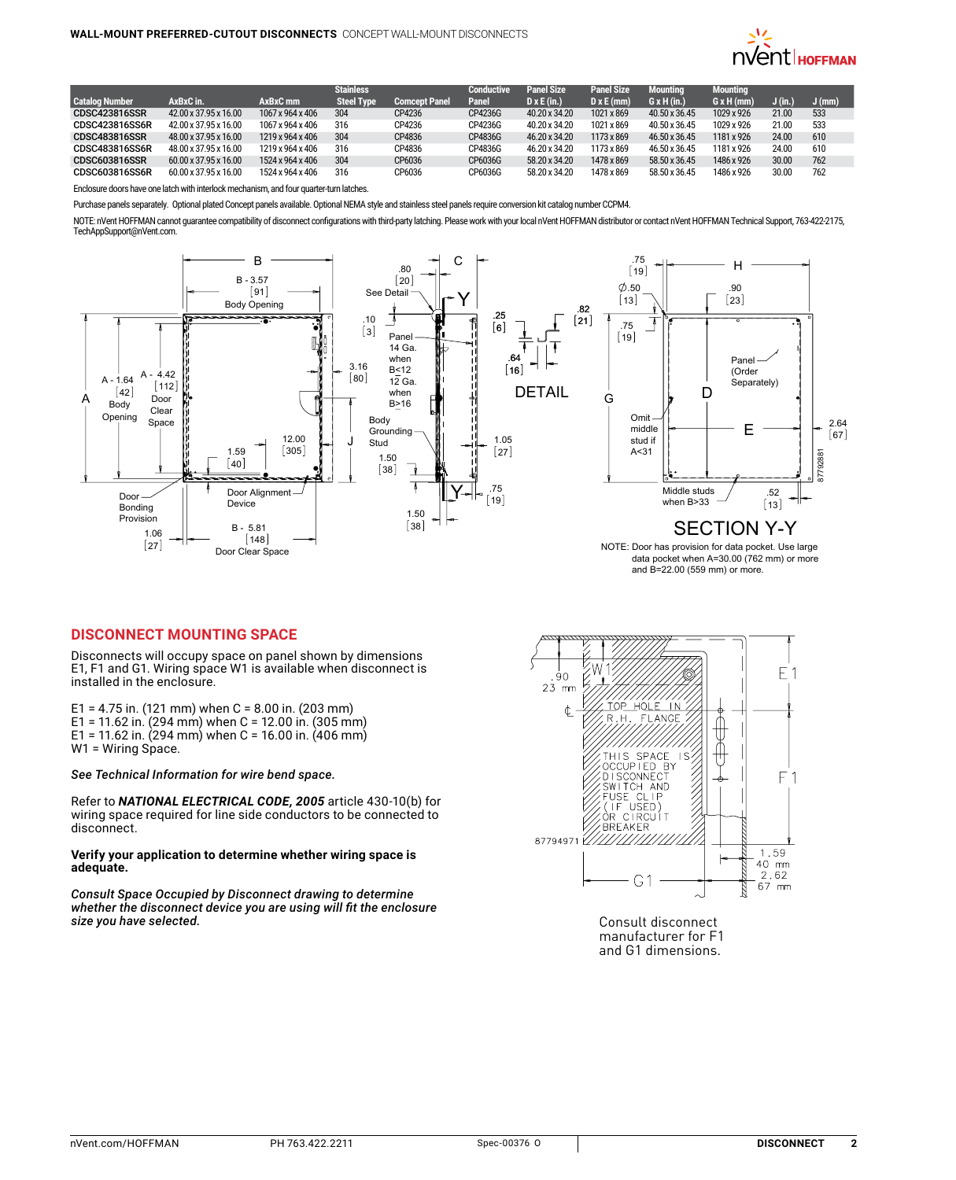

|                       |                       |                  | <b>Stainless</b>  |                      | <b>Conductive</b> | <b>Panel Size</b>  | <b>Panel Size</b> | <b>Mounting</b>    | <b>Mounting</b>   |         |          |
|-----------------------|-----------------------|------------------|-------------------|----------------------|-------------------|--------------------|-------------------|--------------------|-------------------|---------|----------|
| <b>Catalog Number</b> | AxBxC in.             | AxBxC mm         | <b>Steel Type</b> | <b>Comcept Panel</b> | Panel             | $D \times E$ (in.) | $D \times E$ (mm) | $G \times H (in.)$ | $G \times H$ (mm) | J (in.) | $J$ (mm) |
| <b>CDSC423816SSR</b>  | 42.00 x 37.95 x 16.00 | 1067 x 964 x 406 | 304               | CP4236               | CP4236G           | 40.20 x 34.20      | 1021 x 869        | 40.50 x 36.45      | 1029 x 926        | 21.00   | 533      |
| <b>CDSC423816SS6R</b> | 42.00 x 37.95 x 16.00 | 1067 x 964 x 406 | 316               | CP4236               | CP4236G           | 40.20 x 34.20      | 1021 x 869        | 40.50 x 36.45      | 1029 x 926        | 21.00   | 533      |
| CDSC483816SSR         | 48.00 x 37.95 x 16.00 | 1219 x 964 x 406 | 304               | CP4836               | CP4836G           | 46.20 x 34.20      | 1173 x 869        | 46.50 x 36.45      | 1181 x 926        | 24.00   | 610      |
| CDSC483816SS6R        | 48.00 x 37.95 x 16.00 | 1219 x 964 x 406 | 316               | CP4836               | CP4836G           | 46.20 x 34.20      | 1173 x 869        | 46.50 x 36.45      | 1181 x 926        | 24.00   | 610      |
| <b>CDSC603816SSR</b>  | 60.00 x 37.95 x 16.00 | 1524 x 964 x 406 | 304               | CP6036               | CP6036G           | 58.20 x 34.20      | 1478 x 869        | 58.50 x 36.45      | 1486 x 926        | 30.00   | 762      |
| CDSC603816SS6R        | 60.00 x 37.95 x 16.00 | 1524 x 964 x 406 | 316               | CP6036               | CP6036G           | 58.20 x 34.20      | 1478 x 869        | 58.50 x 36.45      | 1486 x 926        | 30.00   | 762      |

Enclosure doors have one latch with interlock mechanism, and four quarter-turn latches.

Purchase panels separately. Optional plated Concept panels available. Optional NEMA style and stainless steel panels require conversion kit catalog number CCPM4.

NOTE: nVent HOFFMAN cannot guarantee compatibility of disconnect configurations with third-party latching. Please work with your local nVent HOFFMAN distributor or contact nVent HOFFMAN Technical Support, 763-422-2175, TechAppSupport@nVent.com.



## **Disconnect Mounting Space**

Disconnects will occupy space on panel shown by dimensions E1, F1 and G1. Wiring space W1 is available when disconnect is installed in the enclosure.

E1 = 4.75 in. (121 mm) when  $C = 8.00$  in. (203 mm) E1 = 11.62 in. (294 mm) when C = 12.00 in. (305 mm) E1 = 11.62 in. (294 mm) when C = 16.00 in. (406 mm) W1 = Wiring Space.

*See Technical Information for wire bend space.*

Refer to *NATIONAL ELECTRICAL CODE, 2005* article 430-10(b) for wiring space required for line side conductors to be connected to disconnect.

#### **Verify your application to determine whether wiring space is adequate.**

*Consult Space Occupied by Disconnect drawing to determine whether the disconnect device you are using will fit the enclosure* 



Consult disconnect manufacturer for F1 and G1 dimensions.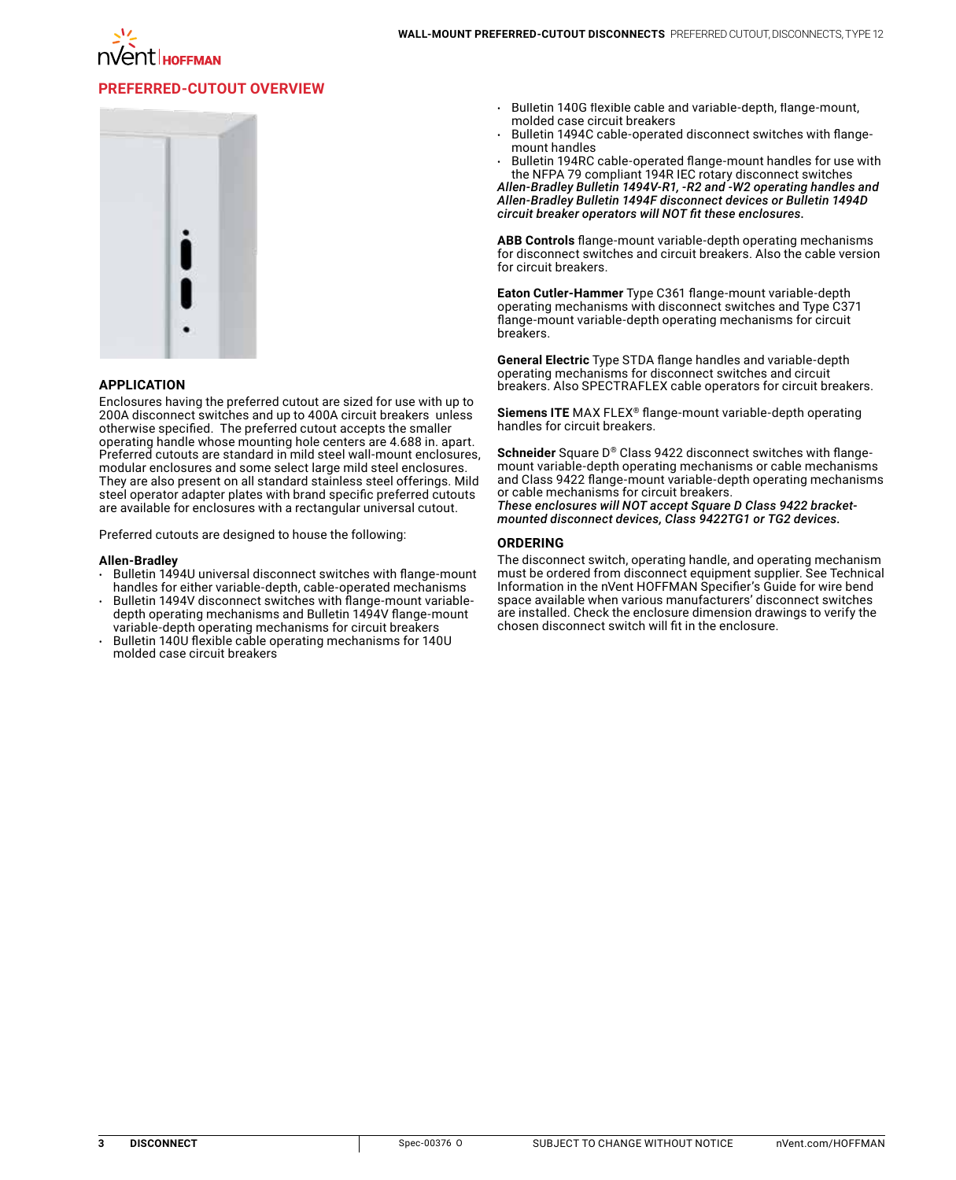

# **Preferred-Cutout Overview**



#### **APPLICATION**

Enclosures having the preferred cutout are sized for use with up to 200A disconnect switches and up to 400A circuit breakers unless otherwise specified. The preferred cutout accepts the smaller operating handle whose mounting hole centers are 4.688 in. apart. Preferred cutouts are standard in mild steel wall-mount enclosures, modular enclosures and some select large mild steel enclosures. They are also present on all standard stainless steel offerings. Mild steel operator adapter plates with brand specific preferred cutouts are available for enclosures with a rectangular universal cutout.

Preferred cutouts are designed to house the following:

#### **Allen-Bradley**

- Bulletin 1494U universal disconnect switches with flange-mount handles for either variable-depth, cable-operated mechanisms
- Bulletin 1494V disconnect switches with flange-mount variabledepth operating mechanisms and Bulletin 1494V flange-mount variable-depth operating mechanisms for circuit breakers
- Bulletin 140U flexible cable operating mechanisms for 140U molded case circuit breakers
- Bulletin 140G flexible cable and variable-depth, flange-mount, molded case circuit breakers
- Bulletin 1494C cable-operated disconnect switches with flangemount handles
- Bulletin 194RC cable-operated flange-mount handles for use with the NFPA 79 compliant 194R IEC rotary disconnect switches

*Allen-Bradley Bulletin 1494V-R1, -R2 and -W2 operating handles and Allen-Bradley Bulletin 1494F disconnect devices or Bulletin 1494D circuit breaker operators will NOT fit these enclosures.*

**ABB Controls** flange-mount variable-depth operating mechanisms for disconnect switches and circuit breakers. Also the cable version for circuit breakers.

**Eaton Cutler-Hammer** Type C361 flange-mount variable-depth operating mechanisms with disconnect switches and Type C371 flange-mount variable-depth operating mechanisms for circuit breakers.

**General Electric** Type STDA flange handles and variable-depth operating mechanisms for disconnect switches and circuit breakers. Also SPECTRAFLEX cable operators for circuit breakers.

**Siemens ITE** MAX FLEX® flange-mount variable-depth operating handles for circuit breakers.

**Schneider** Square D® Class 9422 disconnect switches with flangemount variable-depth operating mechanisms or cable mechanisms and Class 9422 flange-mount variable-depth operating mechanisms or cable mechanisms for circuit breakers.

*These enclosures will NOT accept Square D Class 9422 bracketmounted disconnect devices, Class 9422TG1 or TG2 devices.* 

#### **ORDERING**

The disconnect switch, operating handle, and operating mechanism must be ordered from disconnect equipment supplier. See Technical Information in the nVent HOFFMAN Specifier's Guide for wire bend space available when various manufacturers' disconnect switches are installed. Check the enclosure dimension drawings to verify the chosen disconnect switch will fit in the enclosure.